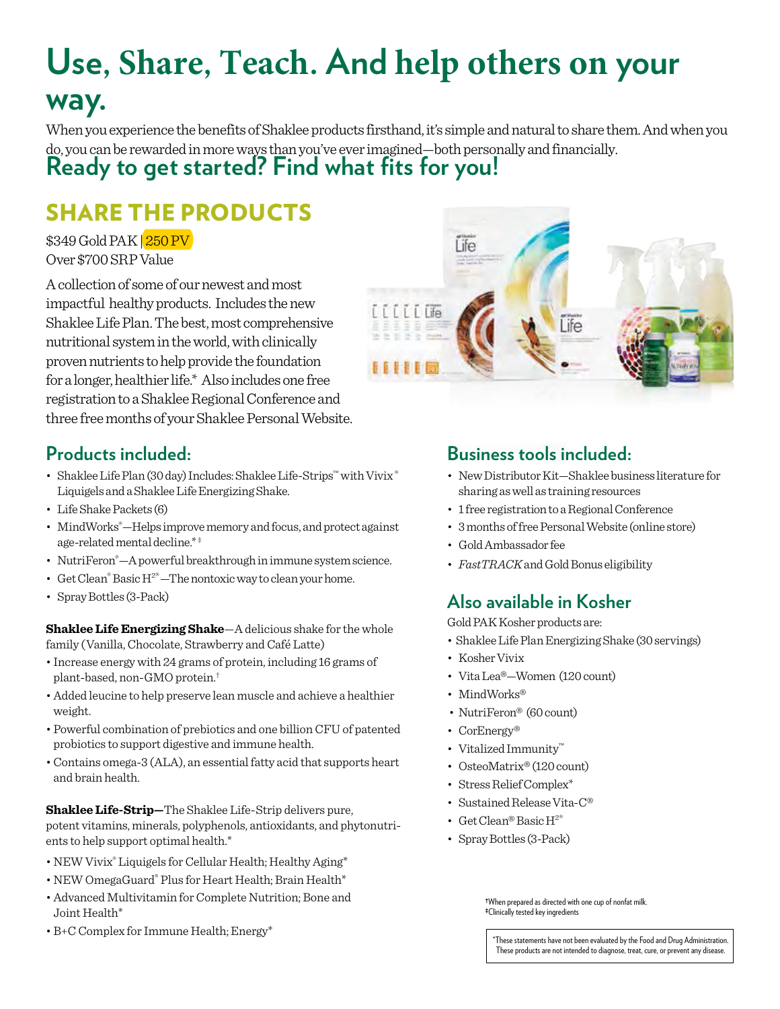# **Use, Share, Teach. And help others on your way.**

When you experience the benefits of Shaklee products firsthand, it's simple and natural to share them. And when you do, you can be rewarded in more ways than you've ever imagined—both personally and financially.

# **Ready to get started? Find what fits for you!**

# SHARE THE PRODUCTS

\$349 Gold PAK | 250 PV Over \$700 SRP Value

A collection of some of our newest and most impactful healthy products. Includes the new Shaklee Life Plan. The best, most comprehensive nutritional system in the world, with clinically proven nutrients to help provide the foundation for a longer, healthier life.\* Also includes one free registration to a Shaklee Regional Conference and three free months of your Shaklee Personal Website.



### **Products included:**

- Shaklee Life Plan (30 day) Includes: Shaklee Life-Strips™ with Vivix ® Liquigels and a Shaklee Life Energizing Shake.
- Life Shake Packets (6)
- MindWorks®—Helps improve memory and focus, and protect against age-related mental decline.\* ‡
- NutriFeron® —A powerful breakthrough in immune system science.
- Get Clean® Basic  $H^{2^{\circledast}}$ -The nontoxic way to clean your home.
- Spray Bottles (3-Pack)

**Shaklee Life Energizing Shake**—A delicious shake for the whole family (Vanilla, Chocolate, Strawberry and Café Latte)

- Increase energy with 24 grams of protein, including 16 grams of plant-based, non-GMO protein.†
- Added leucine to help preserve lean muscle and achieve a healthier weight.
- Powerful combination of prebiotics and one billion CFU of patented probiotics to support digestive and immune health.
- Contains omega-3 (ALA), an essential fatty acid that supports heart and brain health.

**Shaklee Life-Strip—**The Shaklee Life-Strip delivers pure, potent vitamins, minerals, polyphenols, antioxidants, and phytonutrients to help support optimal health.\*

- NEW Vivix® Liquigels for Cellular Health; Healthy Aging\*
- NEW OmegaGuard® Plus for Heart Health; Brain Health\*
- Advanced Multivitamin for Complete Nutrition; Bone and Joint Health\*
- B+C Complex for Immune Health; Energy\* These statements have not been evaluated by the Food and Drug Administration.

### **Business tools included:**

- New Distributor Kit—Shaklee business literature for sharing as well as training resources
- 1 free registration to a Regional Conference
- 3 months of free Personal Website (online store)
- Gold Ambassador fee
- *FastTRACK*and Gold Bonus eligibility

### **Also available in Kosher**

Gold PAK Kosher products are:

- Shaklee Life Plan Energizing Shake (30 servings)
- Kosher Vivix
- Vita Lea®—Women (120 count)
- MindWorks®
- NutriFeron<sup>®</sup> (60 count)
- CorEnergy<sup>®</sup>
- Vitalized Immunity™
- OsteoMatrix® (120 count)
- Stress Relief Complex\*
- Sustained Release Vita-C®
- Get Clean® Basic H2®
- Spray Bottles (3-Pack)

†When prepared as directed with one cup of nonfat milk. ‡Clinically tested key ingredients

These products are not intended to diagnose, treat, cure, or prevent any disease.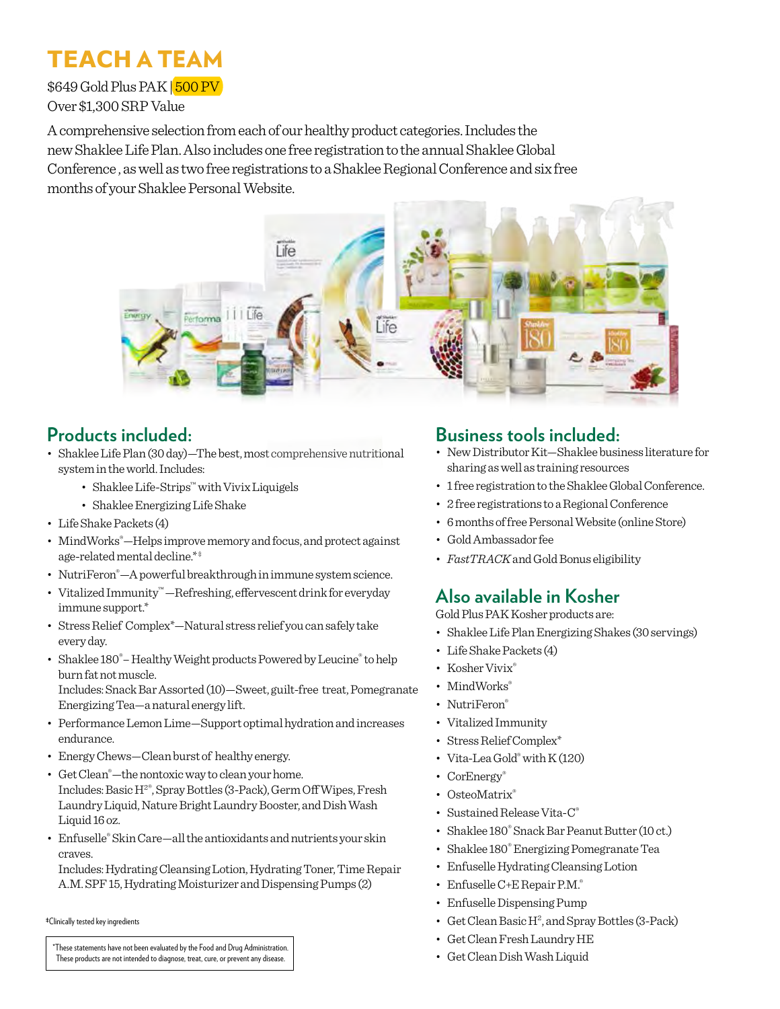# **TEACH** A TEAM

\$649 Gold Plus PAK 500 PV

Over \$1,300 SRP Value

A comprehensive selection from each of our healthy product categories. Includes the new Shaklee Life Plan. Also includes one free registration to the annual Shaklee Global Conference , as well as two free registrations to a Shaklee Regional Conference and six free months of your Shaklee Personal Website.



### **Products included:**

- Shaklee Life Plan (30 day)—The best, most comprehensive nutritional system in the world. Includes:
	- Shaklee Life-Strips™ with Vivix Liquigels
	- Shaklee Energizing Life Shake
- Life Shake Packets (4)
- MindWorks®—Helps improve memory and focus, and protect against age-related mental decline.\*\*
- NutriFeron® —A powerful breakthrough in immune system science.
- Vitalized Immunity™ —Refreshing, effervescent drink for everyday immune support.\*
- Stress Relief Complex\*—Natural stress relief you can safely take every day.
- Shaklee 180<sup>®</sup>-Healthy Weight products Powered by Leucine<sup>®</sup> to help burn fat not muscle.

Includes: Snack Bar Assorted (10)—Sweet, guilt-free treat, Pomegranate Energizing Tea—a natural energy lift.

- Performance Lemon Lime—Support optimal hydration and increases endurance.
- Energy Chews—Clean burst of healthy energy.
- Get Clean® —the nontoxic way to clean your home. Includes: Basic H2®, Spray Bottles (3-Pack), Germ Off Wipes, Fresh Laundry Liquid, Nature Bright Laundry Booster, and Dish Wash Liquid 16 oz.
- Enfuselle® Skin Care—all the antioxidants and nutrients your skin craves.

Includes: Hydrating Cleansing Lotion, Hydrating Toner, Time Repair A.M. SPF 15, Hydrating Moisturizer and Dispensing Pumps (2)

‡Clinically tested key ingredients

\*These statements have not been evaluated by the Food and Drug Administration.<br>These products are not intended to diagnose, treat, cure, or prevent any disease.

#### **Business tools included:**

- New Distributor Kit—Shaklee business literature for sharing as well as training resources
- 1 free registration to the Shaklee Global Conference.
- 2 free registrations to a Regional Conference
- 6 months of free Personal Website (online Store)
- Gold Ambassador fee
- *FastTRACK*and Gold Bonus eligibility

### **Also available in Kosher**

Gold Plus PAK Kosher products are:

- Shaklee Life Plan Energizing Shakes (30 servings)
- Life Shake Packets (4)
- Kosher Vivix®
- MindWorks®
- NutriFeron®
- Vitalized Immunity
- Stress Relief Complex\*
- Vita-Lea Gold® with K (120)
- CorEnergy®
- OsteoMatrix®
- Sustained Release Vita-C®
- Shaklee 180® Snack Bar Peanut Butter (10 ct.)
- Shaklee 180® Energizing Pomegranate Tea
- Enfuselle Hydrating Cleansing Lotion
- Enfuselle C+E Repair P.M.<sup>®</sup>
- Enfuselle Dispensing Pump
- Get Clean Basic H<sup>2</sup>, and Spray Bottles (3-Pack)
- Get Clean Fresh Laundry HE
-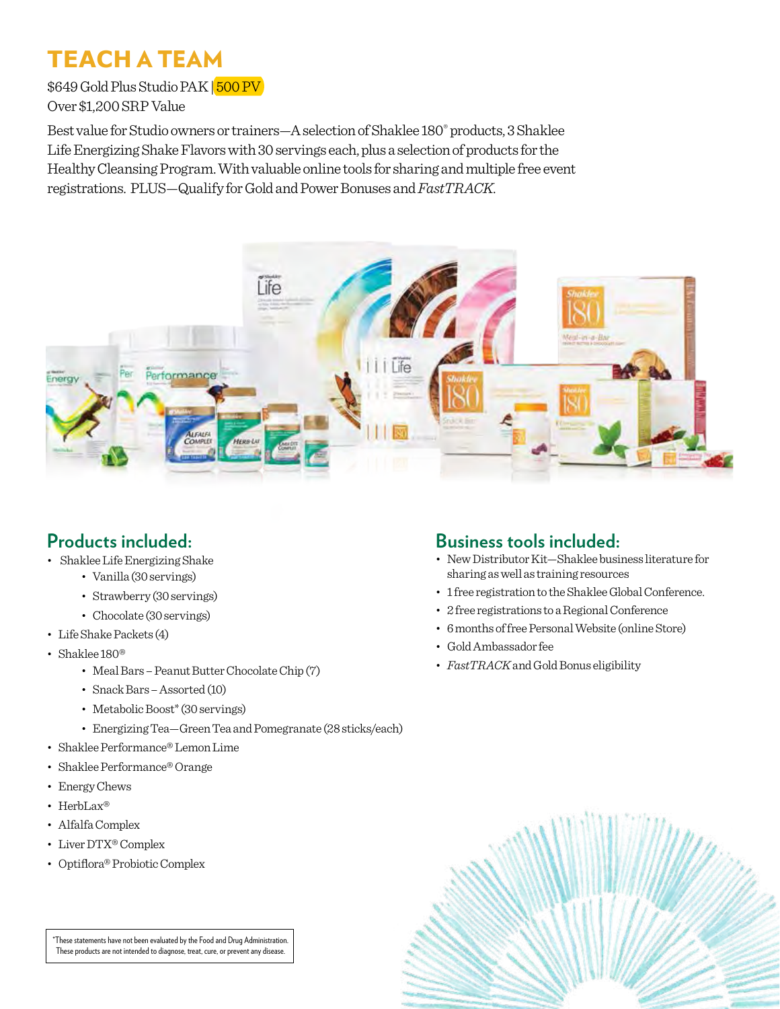# **TEACH** A TEAM

\$649 Gold Plus Studio PAK | 500 PV Over \$1,200 SRP Value

Best value for Studio owners or trainers—A selection of Shaklee 180® products, 3 Shaklee Life Energizing Shake Flavors with 30 servings each, plus a selection of products for the Healthy Cleansing Program. With valuable online tools for sharing and multiple free event registrations. PLUS—Qualify for Gold and Power Bonuses and *FastTRACK*.



#### **Products included:**

- Shaklee Life Energizing Shake
	- Vanilla (30 servings)
	- Strawberry (30 servings)
	- Chocolate (30 servings)
- Life Shake Packets (4)
- Shaklee 180®
	- Meal Bars Peanut Butter Chocolate Chip (7)
	- Snack Bars Assorted (10)
	- Metabolic Boost\* (30 servings)
	- Energizing Tea—Green Tea and Pomegranate (28 sticks/each)
- Shaklee Performance® Lemon Lime
- Shaklee Performance® Orange
- Energy Chews
- HerbLax®
- Alfalfa Complex
- Liver DTX® Complex
- Optiflora® Probiotic Complex

#### **Business tools included:**

- New Distributor Kit—Shaklee business literature for sharing as well as training resources
- 1 free registration to the Shaklee Global Conference.
- 2 free registrations to a Regional Conference
- 6 months of free Personal Website (online Store)
- Gold Ambassador fee
- *FastTRACK* and Gold Bonus eligibility



\*These statements have not been evaluated by the Food and Drug Administration. These products are not intended to diagnose, treat, cure, or prevent any disease.